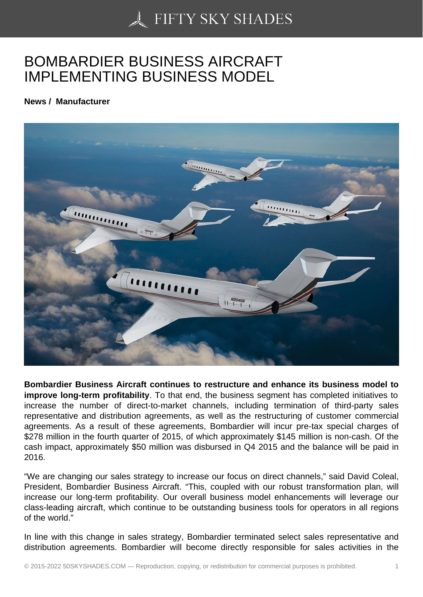## [BOMBARDIER BUSIN](https://50skyshades.com)ESS AIRCRAFT IMPLEMENTING BUSINESS MODEL

News / Manufacturer

Bombardier Business Aircraft continues to restructure and enhance its business model to improve long-term profitability . To that end, the business segment has completed initiatives to increase the number of direct-to-market channels, including termination of third-party sales representative and distribution agreements, as well as the restructuring of customer commercial agreements. As a result of these agreements, Bombardier will incur pre-tax special charges of \$278 million in the fourth quarter of 2015, of which approximately \$145 million is non-cash. Of the cash impact, approximately \$50 million was disbursed in Q4 2015 and the balance will be paid in 2016.

"We are changing our sales strategy to increase our focus on direct channels," said David Coleal, President, Bombardier Business Aircraft. "This, coupled with our robust transformation plan, will increase our long-term profitability. Our overall business model enhancements will leverage our class-leading aircraft, which continue to be outstanding business tools for operators in all regions of the world."

In line with this change in sales strategy, Bombardier terminated select sales representative and distribution agreements. Bombardier will become directly responsible for sales activities in the